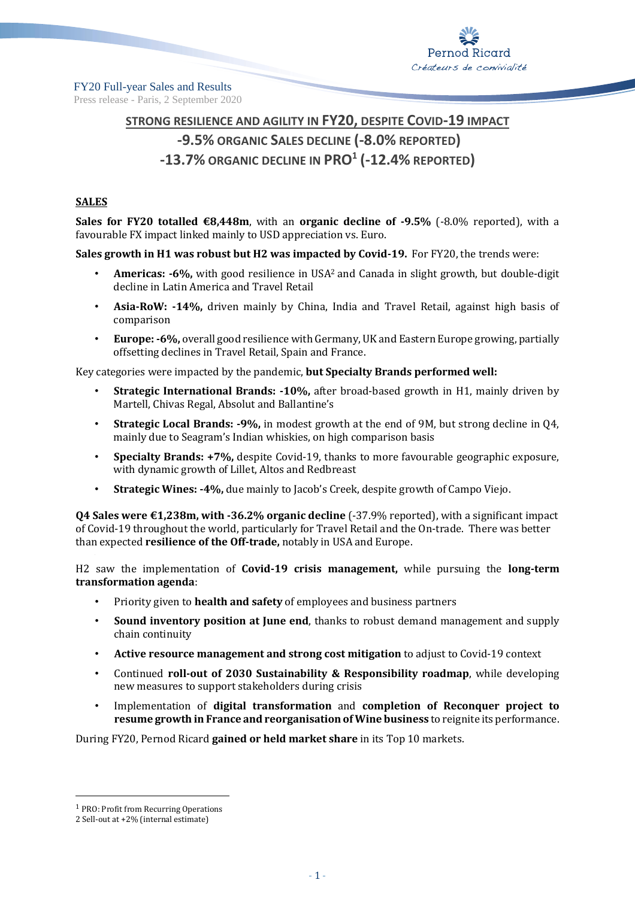FY20 Full-year Sales and Results Press release - Paris, 2 September 2020

# **STRONG RESILIENCE AND AGILITY IN FY20, DESPITE COVID-19 IMPACT**

# **-9.5% ORGANIC SALES DECLINE (-8.0% REPORTED) -13.7% ORGANIC DECLINE IN PRO<sup>1</sup> (-12.4% REPORTED)**

#### **SALES**

**Sales for FY20 totalled €8,448m**, with an **organic decline of -9.5%** (-8.0% reported), with a favourable FX impact linked mainly to USD appreciation vs. Euro.

**Sales growth in H1 was robust but H2 was impacted by Covid-19.** For FY20, the trends were:

- **Americas: -6%,** with good resilience in USA<sup>2</sup> and Canada in slight growth, but double-digit decline in Latin America and Travel Retail
- **Asia-RoW: -14%,** driven mainly by China, India and Travel Retail, against high basis of comparison
- **Europe: -6%,** overall good resilience with Germany, UK and Eastern Europe growing, partially offsetting declines in Travel Retail, Spain and France.

Key categories were impacted by the pandemic, **but Specialty Brands performed well:**

- **Strategic International Brands: -10%,** after broad-based growth in H1, mainly driven by Martell, Chivas Regal, Absolut and Ballantine's
- **Strategic Local Brands: -9%,** in modest growth at the end of 9M, but strong decline in Q4, mainly due to Seagram's Indian whiskies, on high comparison basis
- **Specialty Brands: +7%,** despite Covid-19, thanks to more favourable geographic exposure, with dynamic growth of Lillet, Altos and Redbreast
- **Strategic Wines: -4%,** due mainly to Jacob's Creek, despite growth of Campo Viejo.

**Q4 Sales were €1,238m, with -36.2% organic decline** (-37.9% reported), with a significant impact of Covid-19 throughout the world, particularly for Travel Retail and the On-trade. There was better than expected **resilience of the Off-trade,** notably in USA and Europe.

H2 saw the implementation of **Covid-19 crisis management,** while pursuing the **long-term transformation agenda**:

- Priority given to **health and safety** of employees and business partners
- **Sound inventory position at June end**, thanks to robust demand management and supply chain continuity
- **Active resource management and strong cost mitigation** to adjust to Covid-19 context
- Continued **roll-out of 2030 Sustainability & Responsibility roadmap**, while developing new measures to support stakeholders during crisis
- Implementation of **digital transformation** and **completion of Reconquer project to resume growth in France and reorganisation of Wine business** to reignite its performance.

During FY20, Pernod Ricard **gained or held market share** in its Top 10 markets.

<sup>1</sup> PRO: Profit from Recurring Operations

<sup>2</sup> Sell-out at +2% (internal estimate)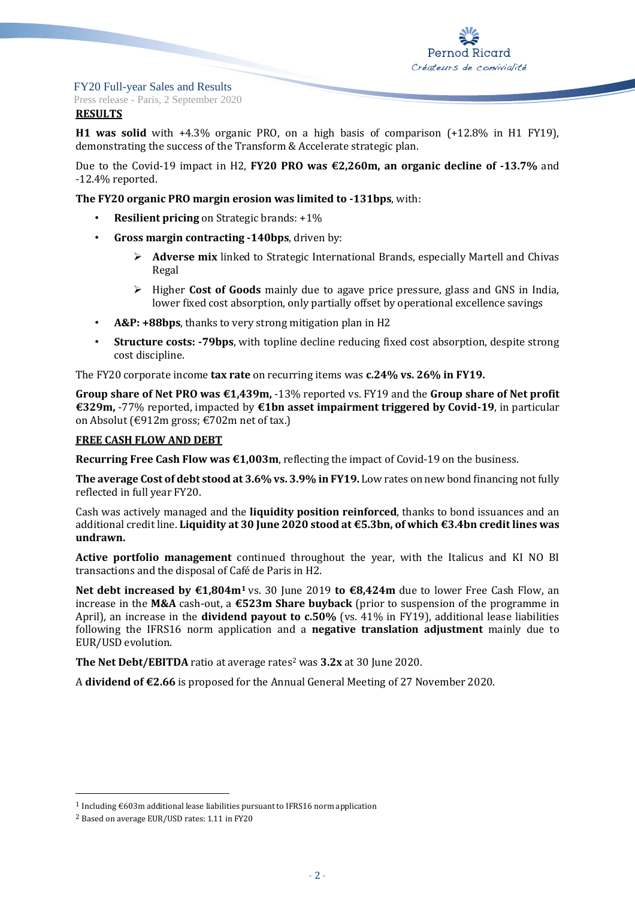

Press release - Paris, 2 September 2020

#### **RESULTS**

**H1 was solid** with +4.3% organic PRO, on a high basis of comparison (+12.8% in H1 FY19), demonstrating the success of the Transform & Accelerate strategic plan.

Due to the Covid-19 impact in H2, **FY20 PRO was €2,260m, an organic decline of -13.7%** and -12.4% reported.

#### **The FY20 organic PRO margin erosion was limited to -131bps**, with:

- **Resilient pricing** on Strategic brands: +1%
- **Gross margin contracting -140bps**, driven by:
	- ➢ **Adverse mix** linked to Strategic International Brands, especially Martell and Chivas Regal
	- ➢ Higher **Cost of Goods** mainly due to agave price pressure, glass and GNS in India, lower fixed cost absorption, only partially offset by operational excellence savings
- **A&P: +88bps**, thanks to very strong mitigation plan in H2
- **Structure costs: -79bps**, with topline decline reducing fixed cost absorption, despite strong cost discipline.

The FY20 corporate income **tax rate** on recurring items was **c.24% vs. 26% in FY19.**

**Group share of Net PRO was €1,439m,** -13% reported vs. FY19 and the **Group share of Net profit €329m,** -77% reported, impacted by **€1bn asset impairment triggered by Covid-19**, in particular on Absolut (€912m gross; €702m net of tax.)

#### **FREE CASH FLOW AND DEBT**

**Recurring Free Cash Flow was €1,003m**, reflecting the impact of Covid-19 on the business.

**The average Cost of debt stood at 3.6% vs. 3.9% in FY19.** Low rates on new bond financing not fully reflected in full year FY20.

Cash was actively managed and the **liquidity position reinforced**, thanks to bond issuances and an additional credit line. **Liquidity at 30 June 2020 stood at €5.3bn, of which €3.4bn credit lines was undrawn.**

**Active portfolio management** continued throughout the year, with the Italicus and KI NO BI transactions and the disposal of Café de Paris in H2.

**Net debt increased by €1,804m<sup>1</sup>** vs. 30 June 2019 **to €8,424m** due to lower Free Cash Flow, an increase in the **M&A** cash-out, a **€523m Share buyback** (prior to suspension of the programme in April), an increase in the **dividend payout to c.50%** (vs. 41% in FY19), additional lease liabilities following the IFRS16 norm application and a **negative translation adjustment** mainly due to EUR/USD evolution.

**The Net Debt/EBITDA** ratio at average rates<sup>2</sup> was 3.2x at 30 June 2020.

A **dividend of €2.66** is proposed for the Annual General Meeting of 27 November 2020.

<sup>&</sup>lt;sup>1</sup> Including €603m additional lease liabilities pursuant to IFRS16 norm application

<sup>2</sup> Based on average EUR/USD rates: 1.11 in FY20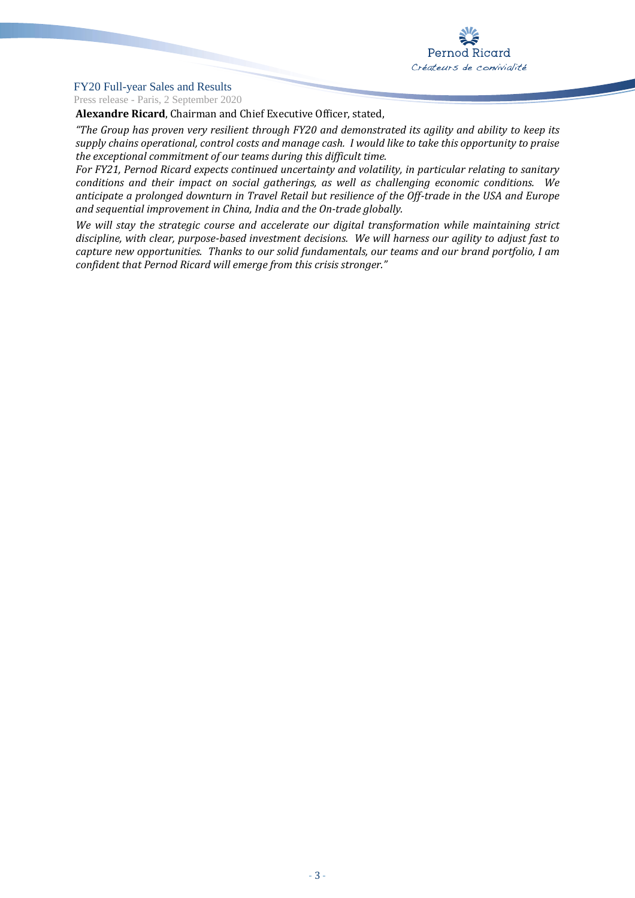Press release - Paris, 2 September 2020

**Alexandre Ricard**, Chairman and Chief Executive Officer, stated,

*"The Group has proven very resilient through FY20 and demonstrated its agility and ability to keep its supply chains operational, control costs and manage cash. I would like to take this opportunity to praise the exceptional commitment of our teams during this difficult time.*

*For FY21, Pernod Ricard expects continued uncertainty and volatility, in particular relating to sanitary conditions and their impact on social gatherings, as well as challenging economic conditions. We anticipate a prolonged downturn in Travel Retail but resilience of the Off-trade in the USA and Europe and sequential improvement in China, India and the On-trade globally.*

*We will stay the strategic course and accelerate our digital transformation while maintaining strict discipline, with clear, purpose-based investment decisions. We will harness our agility to adjust fast to capture new opportunities. Thanks to our solid fundamentals, our teams and our brand portfolio, I am confident that Pernod Ricard will emerge from this crisis stronger."*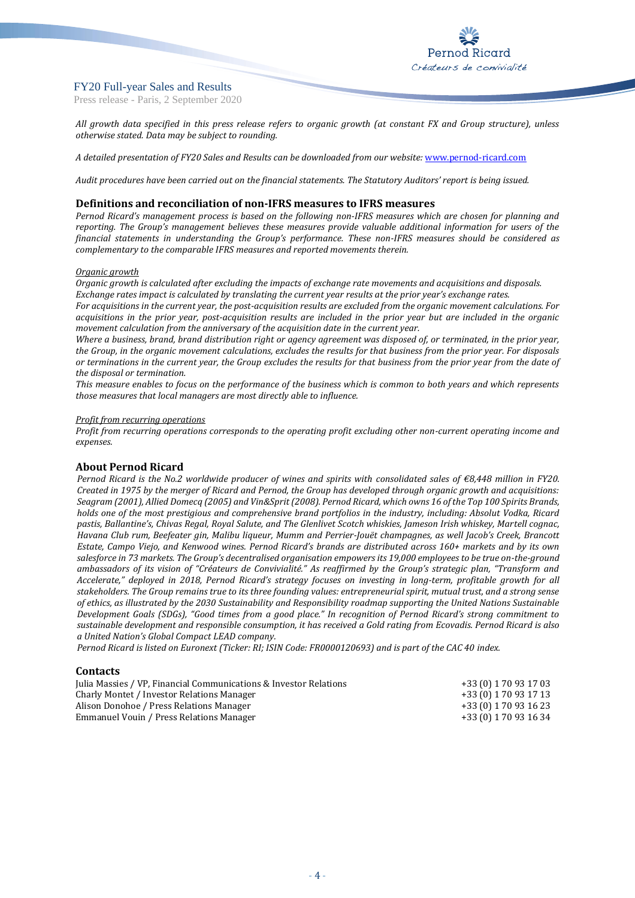Press release - Paris, 2 September 2020

*All growth data specified in this press release refers to organic growth (at constant FX and Group structure), unless otherwise stated. Data may be subject to rounding.*

*A detailed presentation of FY20 Sales and Results can be downloaded from our website:* [www.pernod-ricard.com](http://www.pernod-ricard.com/)

*Audit procedures have been carried out on the financial statements. The Statutory Auditors' report is being issued.*

#### **Definitions and reconciliation of non-IFRS measures to IFRS measures**

*Pernod Ricard's management process is based on the following non-IFRS measures which are chosen for planning and reporting. The Group's management believes these measures provide valuable additional information for users of the financial statements in understanding the Group's performance. These non-IFRS measures should be considered as complementary to the comparable IFRS measures and reported movements therein.*

#### *Organic growth*

*Organic growth is calculated after excluding the impacts of exchange rate movements and acquisitions and disposals. Exchange rates impact is calculated by translating the current year results at the prior year's exchange rates.*

*For acquisitions in the current year, the post-acquisition results are excluded from the organic movement calculations. For acquisitions in the prior year, post-acquisition results are included in the prior year but are included in the organic movement calculation from the anniversary of the acquisition date in the current year.*

*Where a business, brand, brand distribution right or agency agreement was disposed of, or terminated, in the prior year, the Group, in the organic movement calculations, excludes the results for that business from the prior year. For disposals or terminations in the current year, the Group excludes the results for that business from the prior year from the date of the disposal or termination.*

*This measure enables to focus on the performance of the business which is common to both years and which represents those measures that local managers are most directly able to influence.*

#### *Profit from recurring operations*

*Profit from recurring operations corresponds to the operating profit excluding other non-current operating income and expenses.*

#### **About Pernod Ricard**

*Pernod Ricard is the No.2 worldwide producer of wines and spirits with consolidated sales of €8,448 million in FY20. Created in 1975 by the merger of Ricard and Pernod, the Group has developed through organic growth and acquisitions: Seagram (2001), Allied Domecq (2005) and Vin&Sprit (2008). Pernod Ricard, which owns 16 of the Top 100 Spirits Brands, holds one of the most prestigious and comprehensive brand portfolios in the industry, including: Absolut Vodka, Ricard pastis, Ballantine's, Chivas Regal, Royal Salute, and The Glenlivet Scotch whiskies, Jameson Irish whiskey, Martell cognac, Havana Club rum, Beefeater gin, Malibu liqueur, Mumm and Perrier-Jouët champagnes, as well Jacob's Creek, Brancott Estate, Campo Viejo, and Kenwood wines. Pernod Ricard's brands are distributed across 160+ markets and by its own salesforce in 73 markets. The Group's decentralised organisation empowers its 19,000 employees to be true on-the-ground ambassadors of its vision of "Créateurs de Convivialité." As reaffirmed by the Group's strategic plan, "Transform and Accelerate," deployed in 2018, Pernod Ricard's strategy focuses on investing in long-term, profitable growth for all stakeholders. The Group remains true to its three founding values: entrepreneurial spirit, mutual trust, and a strong sense of ethics, as illustrated by the 2030 Sustainability and Responsibility roadmap supporting the United Nations Sustainable Development Goals (SDGs), "Good times from a good place." In recognition of Pernod Ricard's strong commitment to sustainable development and responsible consumption, it has received a Gold rating from Ecovadis. Pernod Ricard is also a United Nation's Global Compact LEAD company.*

*Pernod Ricard is listed on Euronext (Ticker: RI; ISIN Code: FR0000120693) and is part of the CAC 40 index.*

#### **Contacts**

| Julia Massies / VP, Financial Communications & Investor Relations | +33 (0) 1 70 93 17 03 |
|-------------------------------------------------------------------|-----------------------|
| Charly Montet / Investor Relations Manager                        | +33 (0) 1 70 93 17 13 |
| Alison Donohoe / Press Relations Manager                          | +33 (0) 1 70 93 16 23 |
| Emmanuel Vouin / Press Relations Manager                          | +33 (0) 1 70 93 16 34 |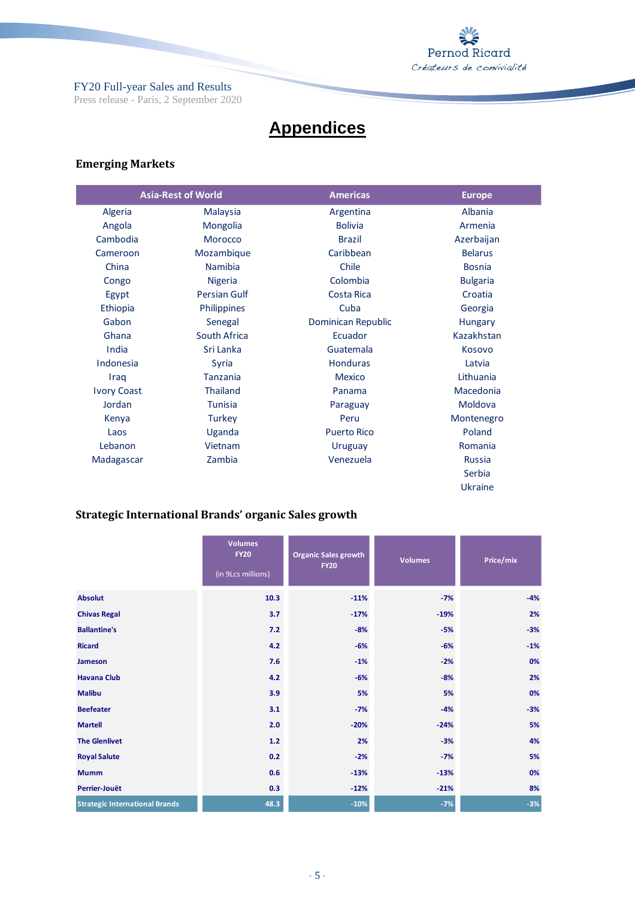

FY20 Full-year Sales and Results Press release - Paris, 2 September 2020

# **Appendices**

# **Emerging Markets**

|                    | <b>Asia-Rest of World</b> | <b>Americas</b>    | <b>Europe</b>   |
|--------------------|---------------------------|--------------------|-----------------|
| Algeria            | Malaysia                  | Argentina          | Albania         |
| Angola             | Mongolia                  | <b>Bolivia</b>     | Armenia         |
| Cambodia           | <b>Morocco</b>            | <b>Brazil</b>      | Azerbaijan      |
| Cameroon           | Mozambique                | Caribbean          | <b>Belarus</b>  |
| China              | <b>Namibia</b>            | Chile              | <b>Bosnia</b>   |
| Congo              | <b>Nigeria</b>            | Colombia           | <b>Bulgaria</b> |
| Egypt              | <b>Persian Gulf</b>       | <b>Costa Rica</b>  | Croatia         |
| Ethiopia           | Philippines               | Cuba               | Georgia         |
| Gabon              | Senegal                   | Dominican Republic | <b>Hungary</b>  |
| Ghana              | South Africa              | Ecuador            | Kazakhstan      |
| India              | Sri Lanka                 | Guatemala          | Kosovo          |
| Indonesia          | Syria                     | <b>Honduras</b>    | Latvia          |
| Iraq               | <b>Tanzania</b>           | <b>Mexico</b>      | Lithuania       |
| <b>Ivory Coast</b> | <b>Thailand</b>           | Panama             | Macedonia       |
| Jordan             | <b>Tunisia</b>            | Paraguay           | <b>Moldova</b>  |
| Kenya              | <b>Turkey</b>             | Peru               | Montenegro      |
| Laos               | Uganda                    | <b>Puerto Rico</b> | Poland          |
| Lebanon            | Vietnam                   | Uruguay            | Romania         |
| Madagascar         | Zambia                    | Venezuela          | Russia          |
|                    |                           |                    | Serbia          |
|                    |                           |                    | Ukraine         |

# **Strategic International Brands' organic Sales growth**

|                                       | <b>Volumes</b><br><b>FY20</b><br>(in 9Lcs millions) | <b>Organic Sales growth</b><br><b>FY20</b> | <b>Volumes</b> | Price/mix |
|---------------------------------------|-----------------------------------------------------|--------------------------------------------|----------------|-----------|
| <b>Absolut</b>                        | 10.3                                                | $-11%$                                     | $-7%$          | $-4%$     |
| <b>Chivas Regal</b>                   | 3.7                                                 | $-17%$                                     | $-19%$         | 2%        |
| <b>Ballantine's</b>                   | 7.2                                                 | $-8%$                                      | $-5%$          | $-3%$     |
| <b>Ricard</b>                         | 4.2                                                 | $-6%$                                      | $-6%$          | $-1%$     |
| Jameson                               | 7.6                                                 | $-1%$                                      | $-2%$          | 0%        |
| <b>Havana Club</b>                    | 4.2                                                 | $-6%$                                      | $-8%$          | 2%        |
| <b>Malibu</b>                         | 3.9                                                 | 5%                                         | 5%             | 0%        |
| <b>Beefeater</b>                      | 3.1                                                 | $-7%$                                      | $-4%$          | $-3%$     |
| <b>Martell</b>                        | 2.0                                                 | $-20%$                                     | $-24%$         | 5%        |
| <b>The Glenlivet</b>                  | 1.2                                                 | 2%                                         | $-3%$          | 4%        |
| <b>Royal Salute</b>                   | 0.2                                                 | $-2%$                                      | $-7%$          | 5%        |
| <b>Mumm</b>                           | 0.6                                                 | $-13%$                                     | $-13%$         | 0%        |
| Perrier-Jouët                         | 0.3                                                 | $-12%$                                     | $-21%$         | 8%        |
| <b>Strategic International Brands</b> | 48.3                                                | $-10%$                                     | $-7%$          | $-3%$     |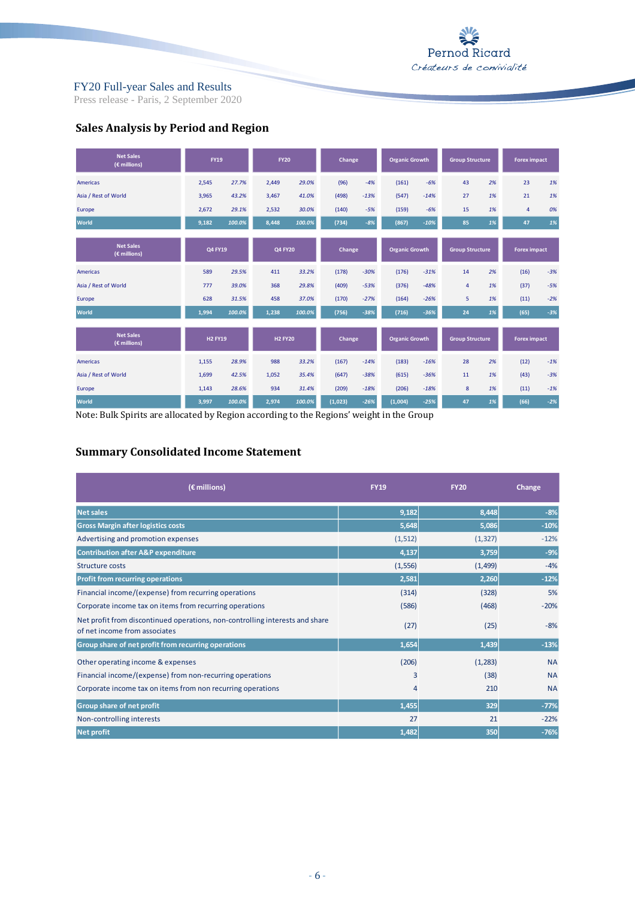

Press release - Paris, 2 September 2020

| <b>Net Sales</b><br>(€ millions) | <b>FY19</b>    |        | <b>FY20</b>    |        | Change   |        | <b>Organic Growth</b> |        | <b>Group Structure</b> |    | <b>Forex impact</b> |       |
|----------------------------------|----------------|--------|----------------|--------|----------|--------|-----------------------|--------|------------------------|----|---------------------|-------|
| <b>Americas</b>                  | 2.545          | 27.7%  | 2,449          | 29.0%  | (96)     | $-4%$  | (161)                 | $-6%$  | 43                     | 2% | 23                  | 1%    |
| Asia / Rest of World             | 3,965          | 43.2%  | 3,467          | 41.0%  | (498)    | $-13%$ | (547)                 | $-14%$ | 27                     | 1% | 21                  | 1%    |
| Europe                           | 2,672          | 29.1%  | 2,532          | 30.0%  | (140)    | $-5%$  | (159)                 | $-6%$  | 15                     | 1% | 4                   | 0%    |
| <b>World</b>                     | 9,182          | 100.0% | 8,448          | 100.0% | (734)    | $-8%$  | (867)                 | $-10%$ | 85                     | 1% | 47                  | 1%    |
| <b>Net Sales</b><br>(€ millions) | <b>Q4 FY19</b> |        | <b>Q4 FY20</b> |        | Change   |        | <b>Organic Growth</b> |        | <b>Group Structure</b> |    | <b>Forex impact</b> |       |
| <b>Americas</b>                  | 589            | 29.5%  | 411            | 33.2%  | (178)    | $-30%$ | (176)                 | $-31%$ | 14                     | 2% | (16)                | $-3%$ |
| Asia / Rest of World             | 777            | 39.0%  | 368            | 29.8%  | (409)    | $-53%$ | (376)                 | $-48%$ | $\overline{4}$         | 1% | (37)                | $-5%$ |
| Europe                           | 628            | 31.5%  | 458            | 37.0%  | (170)    | $-27%$ | (164)                 | $-26%$ | 5                      | 1% | (11)                | $-2%$ |
| World                            | 1.994          | 100.0% | 1.238          | 100.0% | (756)    | $-38%$ | (716)                 | $-36%$ | 24                     | 1% | (65)                | $-3%$ |
| <b>Net Sales</b><br>(€ millions) | <b>H2 FY19</b> |        | <b>H2 FY20</b> |        | Change   |        | <b>Organic Growth</b> |        | <b>Group Structure</b> |    | <b>Forex impact</b> |       |
| <b>Americas</b>                  | 1,155          | 28.9%  | 988            | 33.2%  | (167)    | $-14%$ | (183)                 | $-16%$ | 28                     | 2% | (12)                | $-1%$ |
| Asia / Rest of World             | 1,699          | 42.5%  | 1,052          | 35.4%  | (647)    | $-38%$ | (615)                 | $-36%$ | 11                     | 1% | (43)                | $-3%$ |
| Europe                           | 1,143          | 28.6%  | 934            | 31.4%  | (209)    | $-18%$ | (206)                 | $-18%$ | 8                      | 1% | (11)                | $-1%$ |
| World                            | 3,997          | 100.0% | 2,974          | 100.0% | (1, 023) | $-26%$ | (1,004)               | $-25%$ | 47                     | 1% | (66)                | $-2%$ |

# **Sales Analysis by Period and Region**

Note: Bulk Spirits are allocated by Region according to the Regions' weight in the Group

### **Summary Consolidated Income Statement**

| (€ millions)                                                                                                  | <b>FY19</b> | <b>FY20</b> | Change    |
|---------------------------------------------------------------------------------------------------------------|-------------|-------------|-----------|
| <b>Net sales</b>                                                                                              | 9,182       | 8,448       | $-8%$     |
| <b>Gross Margin after logistics costs</b>                                                                     | 5,648       | 5,086       | $-10%$    |
| Advertising and promotion expenses                                                                            | (1, 512)    | (1, 327)    | $-12%$    |
| <b>Contribution after A&amp;P expenditure</b>                                                                 | 4,137       | 3,759       | $-9%$     |
| Structure costs                                                                                               | (1, 556)    | (1,499)     | $-4%$     |
| <b>Profit from recurring operations</b>                                                                       | 2,581       | 2,260       | $-12%$    |
| Financial income/(expense) from recurring operations                                                          | (314)       | (328)       | 5%        |
| Corporate income tax on items from recurring operations                                                       | (586)       | (468)       | $-20%$    |
| Net profit from discontinued operations, non-controlling interests and share<br>of net income from associates | (27)        | (25)        | $-8%$     |
| Group share of net profit from recurring operations                                                           | 1,654       | 1,439       | $-13%$    |
| Other operating income & expenses                                                                             | (206)       | (1,283)     | <b>NA</b> |
| Financial income/(expense) from non-recurring operations                                                      | 3           | (38)        | <b>NA</b> |
| Corporate income tax on items from non recurring operations                                                   | 4           | 210         | <b>NA</b> |
| <b>Group share of net profit</b>                                                                              | 1,455       | 329         | $-77%$    |
| Non-controlling interests                                                                                     | 27          | 21          | $-22%$    |
| <b>Net profit</b>                                                                                             | 1,482       | 350         | $-76%$    |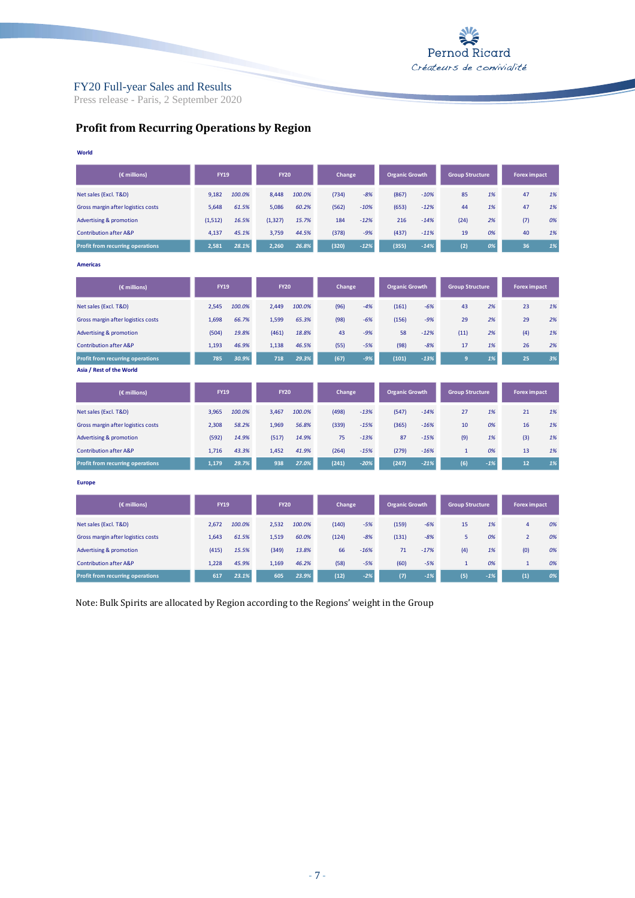

Press release - Paris, 2 September 2020

# **Profit from Recurring Operations by Region**

| World                                   |             |        |             |        |        |        |                       |        |                        |       |                     |    |
|-----------------------------------------|-------------|--------|-------------|--------|--------|--------|-----------------------|--------|------------------------|-------|---------------------|----|
| (€ millions)                            | <b>FY19</b> |        | <b>FY20</b> |        | Change |        | <b>Organic Growth</b> |        | <b>Group Structure</b> |       | <b>Forex impact</b> |    |
| Net sales (Excl. T&D)                   | 9,182       | 100.0% | 8,448       | 100.0% | (734)  | $-8%$  | (867)                 | $-10%$ | 85                     | 1%    | 47                  | 1% |
| Gross margin after logistics costs      | 5,648       | 61.5%  | 5,086       | 60.2%  | (562)  | $-10%$ | (653)                 | $-12%$ | 44                     | 1%    | 47                  | 1% |
| <b>Advertising &amp; promotion</b>      | (1,512)     | 16.5%  | (1, 327)    | 15.7%  | 184    | $-12%$ | 216                   | $-14%$ | (24)                   | 2%    | (7)                 | 0% |
| <b>Contribution after A&amp;P</b>       | 4,137       | 45.1%  | 3,759       | 44.5%  | (378)  | $-9%$  | (437)                 | $-11%$ | 19                     | 0%    | 40                  | 1% |
| <b>Profit from recurring operations</b> | 2,581       | 28.1%  | 2,260       | 26.8%  | (320)  | $-12%$ | (355)                 | $-14%$ | (2)                    | 0%    | 36                  | 1% |
| <b>Americas</b>                         |             |        |             |        |        |        |                       |        |                        |       |                     |    |
| (€ millions)                            | <b>FY19</b> |        | <b>FY20</b> |        | Change |        | <b>Organic Growth</b> |        | <b>Group Structure</b> |       | <b>Forex impact</b> |    |
| Net sales (Excl. T&D)                   | 2,545       | 100.0% | 2,449       | 100.0% | (96)   | $-4%$  | (161)                 | $-6%$  | 43                     | 2%    | 23                  | 1% |
| Gross margin after logistics costs      | 1,698       | 66.7%  | 1,599       | 65.3%  | (98)   | $-6%$  | (156)                 | $-9%$  | 29                     | 2%    | 29                  | 2% |
| <b>Advertising &amp; promotion</b>      | (504)       | 19.8%  | (461)       | 18.8%  | 43     | $-9%$  | 58                    | $-12%$ | (11)                   | 2%    | (4)                 | 1% |
| <b>Contribution after A&amp;P</b>       | 1,193       | 46.9%  | 1,138       | 46.5%  | (55)   | $-5%$  | (98)                  | $-8%$  | 17                     | 1%    | 26                  | 2% |
| <b>Profit from recurring operations</b> | 785         | 30.9%  | 718         | 29.3%  | (67)   | $-9%$  | (101)                 | $-13%$ | 9                      | 1%    | 25                  | 3% |
| Asia / Rest of the World                |             |        |             |        |        |        |                       |        |                        |       |                     |    |
| (€ millions)                            | <b>FY19</b> |        | <b>FY20</b> |        | Change |        | <b>Organic Growth</b> |        | <b>Group Structure</b> |       | <b>Forex impact</b> |    |
| Net sales (Excl. T&D)                   | 3,965       | 100.0% | 3,467       | 100.0% | (498)  | $-13%$ | (547)                 | $-14%$ | 27                     | 1%    | 21                  | 1% |
| Gross margin after logistics costs      | 2,308       | 58.2%  | 1,969       | 56.8%  | (339)  | $-15%$ | (365)                 | $-16%$ | 10                     | 0%    | 16                  | 1% |
| <b>Advertising &amp; promotion</b>      | (592)       | 14.9%  | (517)       | 14.9%  | 75     | $-13%$ | 87                    | $-15%$ | (9)                    | 1%    | (3)                 | 1% |
| <b>Contribution after A&amp;P</b>       | 1,716       | 43.3%  | 1,452       | 41.9%  | (264)  | $-15%$ | (279)                 | $-16%$ | 1                      | 0%    | 13                  | 1% |
| <b>Profit from recurring operations</b> | 1,179       | 29.7%  | 938         | 27.0%  | (241)  | $-20%$ | (247)                 | $-21%$ | (6)                    | $-1%$ | 12                  | 1% |
| <b>Europe</b>                           |             |        |             |        |        |        |                       |        |                        |       |                     |    |
| (€ millions)                            | <b>FY19</b> |        | <b>FY20</b> |        | Change |        | <b>Organic Growth</b> |        | <b>Group Structure</b> |       | <b>Forex impact</b> |    |
| Net sales (Excl. T&D)                   | 2,672       | 100.0% | 2,532       | 100.0% | (140)  | $-5%$  | (159)                 | $-6%$  | 15                     | 1%    | 4                   | 0% |
| Gross margin after logistics costs      | 1,643       | 61.5%  | 1,519       | 60.0%  | (124)  | $-8%$  | (131)                 | $-8%$  | 5                      | 0%    | $\overline{2}$      | 0% |
| <b>Advertising &amp; promotion</b>      | (415)       | 15.5%  | (349)       | 13.8%  | 66     | $-16%$ | 71                    | $-17%$ | (4)                    | 1%    | (0)                 | 0% |
| <b>Contribution after A&amp;P</b>       | 1,228       | 45.9%  | 1,169       | 46.2%  | (58)   | $-5%$  | (60)                  | $-5%$  | $\mathbf{1}$           | 0%    | $\mathbf{1}$        | 0% |
| <b>Profit from recurring operations</b> | 617         | 23.1%  | 605         | 23.9%  | (12)   | $-2%$  | (7)                   | $-1%$  | (5)                    | $-1%$ | (1)                 | 0% |

Note: Bulk Spirits are allocated by Region according to the Regions' weight in the Group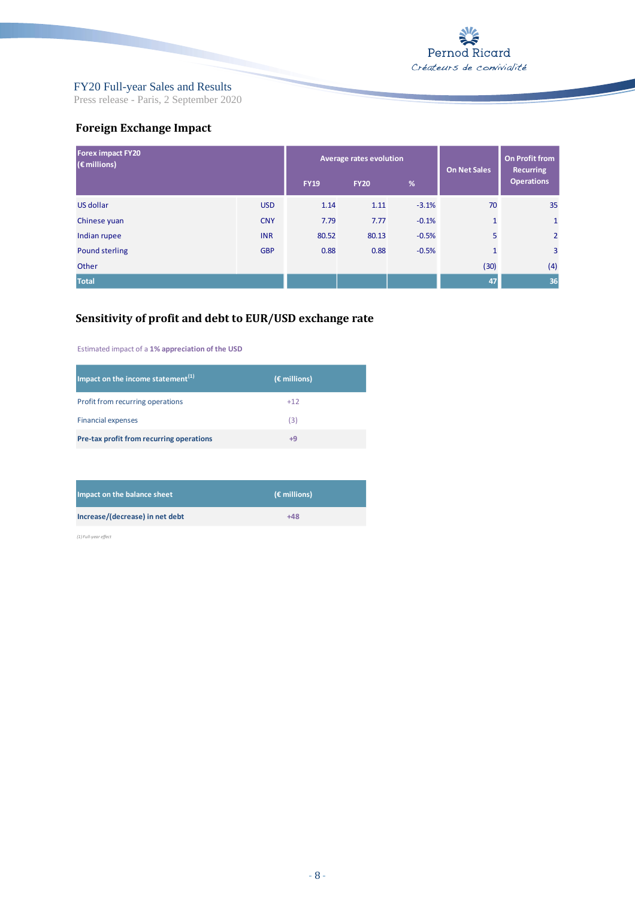

Press release - Paris, 2 September 2020

# **Foreign Exchange Impact**

| <b>Forex impact FY20</b><br>(€ millions) |            |             |             | Average rates evolution |              |                   |  |  |
|------------------------------------------|------------|-------------|-------------|-------------------------|--------------|-------------------|--|--|
|                                          |            | <b>FY19</b> | <b>FY20</b> | %                       |              | <b>Operations</b> |  |  |
| US dollar                                | <b>USD</b> | 1.14        | 1.11        | $-3.1%$                 | 70           | 35                |  |  |
| Chinese yuan                             | <b>CNY</b> | 7.79        | 7.77        | $-0.1%$                 | $\mathbf{1}$ | $\mathbf{1}$      |  |  |
| Indian rupee                             | <b>INR</b> | 80.52       | 80.13       | $-0.5%$                 | 5            | $\overline{2}$    |  |  |
| Pound sterling                           | <b>GBP</b> | 0.88        | 0.88        | $-0.5%$                 | $\mathbf{1}$ | $\overline{3}$    |  |  |
| Other                                    |            |             |             |                         | (30)         | (4)               |  |  |
| <b>Total</b>                             |            |             |             |                         | 47           | 36                |  |  |

# **Sensitivity of profit and debt to EUR/USD exchange rate**

Estimated impact of a **1% appreciation of the USD**

| Impact on the income statement $(1)$     | (€ millions) |
|------------------------------------------|--------------|
| Profit from recurring operations         | $+12$        |
| <b>Financial expenses</b>                | (3)          |
| Pre-tax profit from recurring operations | +9           |

| Impact on the balance sheet     | $(\epsilon$ millions) |
|---------------------------------|-----------------------|
| Increase/(decrease) in net debt | $+48$                 |

*(1) Full-year effect*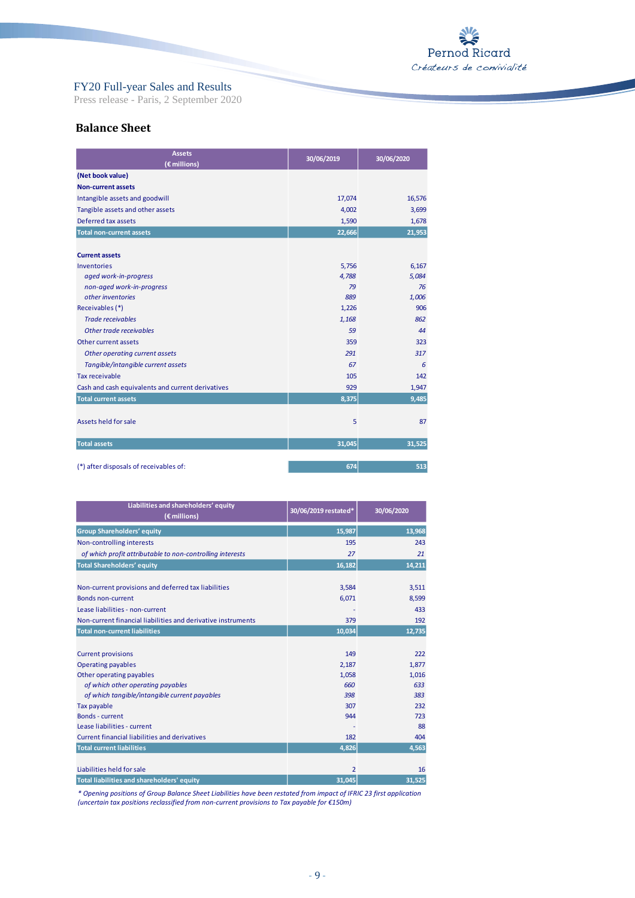

Press release - Paris, 2 September 2020

## **Balance Sheet**

| <b>Assets</b><br>(€ millions)                     | 30/06/2019 | 30/06/2020 |
|---------------------------------------------------|------------|------------|
| (Net book value)                                  |            |            |
| <b>Non-current assets</b>                         |            |            |
| Intangible assets and goodwill                    | 17,074     | 16,576     |
| Tangible assets and other assets                  | 4,002      | 3,699      |
| Deferred tax assets                               | 1,590      | 1,678      |
| <b>Total non-current assets</b>                   | 22,666     | 21,953     |
| <b>Current assets</b>                             |            |            |
| <b>Inventories</b>                                | 5,756      | 6,167      |
| aged work-in-progress                             | 4,788      | 5,084      |
| non-aged work-in-progress                         | 79         | 76         |
| other inventories                                 | 889        | 1,006      |
| Receivables (*)                                   | 1,226      | 906        |
| <b>Trade receivables</b>                          | 1,168      | 862        |
| Other trade receivables                           | 59         | 44         |
| Other current assets                              | 359        | 323        |
| Other operating current assets                    | 291        | 317        |
| Tangible/intangible current assets                | 67         | 6          |
| <b>Tax receivable</b>                             | 105        | 142        |
| Cash and cash equivalents and current derivatives | 929        | 1,947      |
| <b>Total current assets</b>                       | 8,375      | 9,485      |
| Assets held for sale                              | 5          | 87         |
| <b>Total assets</b>                               | 31,045     | 31,525     |
| (*) after disposals of receivables of:            | 674        | 513        |

| Liabilities and shareholders' equity<br>(€ millions)         | 30/06/2019 restated* | 30/06/2020 |
|--------------------------------------------------------------|----------------------|------------|
| <b>Group Shareholders' equity</b>                            | 15,987               | 13,968     |
| Non-controlling interests                                    | 195                  | 243        |
| of which profit attributable to non-controlling interests    | 27                   | 21         |
| <b>Total Shareholders' equity</b>                            | 16,182               | 14,211     |
|                                                              |                      |            |
| Non-current provisions and deferred tax liabilities          | 3,584                | 3,511      |
| <b>Bonds non-current</b>                                     | 6,071                | 8,599      |
| Lease liabilities - non-current                              |                      | 433        |
| Non-current financial liabilities and derivative instruments | 379                  | 192        |
| <b>Total non-current liabilities</b>                         | 10,034               | 12,735     |
|                                                              |                      |            |
| <b>Current provisions</b>                                    | 149                  | 222        |
| <b>Operating payables</b>                                    | 2,187                | 1,877      |
| Other operating payables                                     | 1,058                | 1,016      |
| of which other operating payables                            | 660                  | 633        |
| of which tangible/intangible current payables                | 398                  | 383        |
| Tax payable                                                  | 307                  | 232        |
| <b>Bonds</b> - current                                       | 944                  | 723        |
| Lease liabilities - current                                  |                      | 88         |
| <b>Current financial liabilities and derivatives</b>         | 182                  | 404        |
| <b>Total current liabilities</b>                             | 4,826                | 4,563      |
|                                                              |                      |            |
| Liabilities held for sale                                    | $\overline{2}$       | 16         |
| Total liabilities and shareholders' equity                   | 31.045               | 31.525     |

\* Opening positions of Group Balance Sheet Liabilities have been restated from impact of IFRIC 23 first application *(uncertain tax positions reclassified from non-current provisions to Tax payable for €150m)*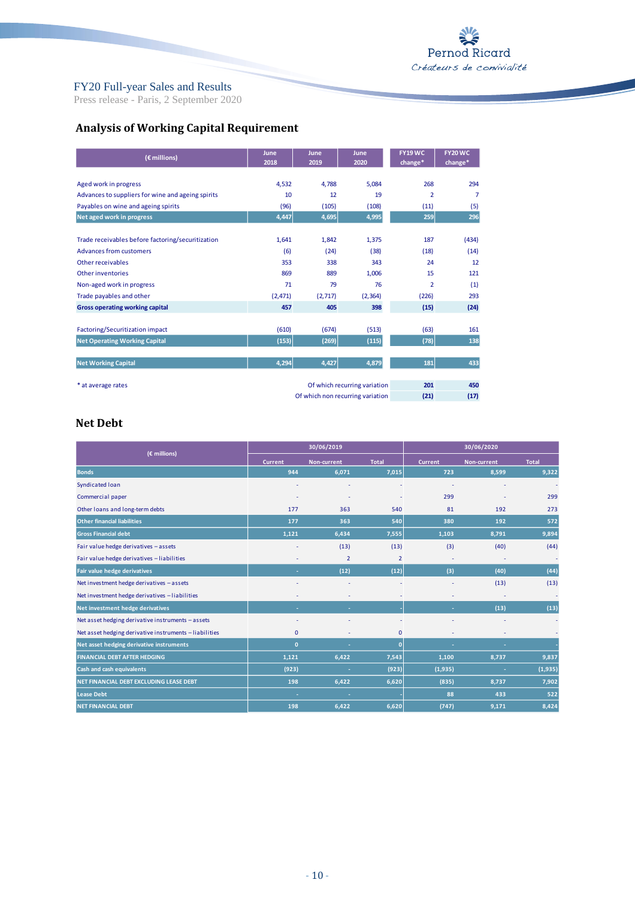Press release - Paris, 2 September 2020

# **Analysis of Working Capital Requirement**

| (€ millions)                                      | June<br>2018 | June<br>2019 | June<br>2020                     | FY19 WC<br>change* | FY20 WC<br>change* |
|---------------------------------------------------|--------------|--------------|----------------------------------|--------------------|--------------------|
| Aged work in progress                             | 4,532        | 4.788        | 5,084                            | 268                | 294                |
| Advances to suppliers for wine and ageing spirits | 10           | 12           | 19                               | $\overline{2}$     | $\overline{7}$     |
| Payables on wine and ageing spirits               | (96)         | (105)        | (108)                            | (11)               | (5)                |
| Net aged work in progress                         | 4,447        | 4,695        | 4,995                            | 259                | 296                |
| Trade receivables before factoring/securitization | 1,641        | 1,842        | 1,375                            | 187                | (434)              |
| <b>Advances from customers</b>                    | (6)          | (24)         | (38)                             | (18)               | (14)               |
| Other receivables                                 | 353          | 338          | 343                              | 24                 | 12                 |
| Other inventories                                 | 869          | 889          | 1,006                            | 15                 | 121                |
| Non-aged work in progress                         | 71           | 79           | 76                               | $\overline{2}$     | (1)                |
| Trade payables and other                          | (2,471)      | (2,717)      | (2, 364)                         | (226)              | 293                |
| <b>Gross operating working capital</b>            | 457          | 405          | 398                              | (15)               | (24)               |
|                                                   |              |              |                                  |                    |                    |
| <b>Factoring/Securitization impact</b>            | (610)        | (674)        | (513)                            | (63)               | 161                |
| <b>Net Operating Working Capital</b>              | (153)        | (269)        | (115)                            | (78)               | 138                |
| <b>Net Working Capital</b>                        | 4,294        | 4,427        | 4,879                            | 181                | 433                |
| * at average rates                                |              |              | Of which recurring variation     | 201                | 450                |
|                                                   |              |              | Of which non recurring variation | (21)               | (17)               |

#### **Net Debt**

| (€ millions)                                           | 30/06/2019     |                    |                | 30/06/2020     |                    |              |
|--------------------------------------------------------|----------------|--------------------|----------------|----------------|--------------------|--------------|
|                                                        | <b>Current</b> | <b>Non-current</b> | <b>Total</b>   | <b>Current</b> | <b>Non-current</b> | <b>Total</b> |
| <b>Bonds</b>                                           | 944            | 6,071              | 7,015          | 723            | 8,599              | 9,322        |
| <b>Syndicated loan</b>                                 |                |                    | ٠              | ٠.             |                    |              |
| Commercial paper                                       |                |                    |                | 299            |                    | 299          |
| Other loans and long-term debts                        | 177            | 363                | 540            | 81             | 192                | 273          |
| <b>Other financial liabilities</b>                     | 177            | 363                | 540            | 380            | 192                | 572          |
| <b>Gross Financial debt</b>                            | 1,121          | 6,434              | 7,555          | 1,103          | 8,791              | 9,894        |
| Fair value hedge derivatives - assets                  |                | (13)               | (13)           | (3)            | (40)               | (44)         |
| Fair value hedge derivatives - liabilities             |                | $\overline{2}$     | $\overline{2}$ |                |                    |              |
| Fair value hedge derivatives                           | н              | (12)               | (12)           | (3)            | (40)               | (44)         |
| Net investment hedge derivatives - assets              |                | ٠                  | ÷              | ٠              | (13)               | (13)         |
| Net investment hedge derivatives - liabilities         |                |                    | ٠              |                |                    |              |
| Net investment hedge derivatives                       |                |                    |                |                | (13)               | (13)         |
| Net asset hedging derivative instruments - assets      |                | ٠                  |                |                |                    |              |
| Net asset hedging derivative instruments - liabilities | $\mathbf{0}$   |                    | 0              |                |                    |              |
| Net asset hedging derivative instruments               | $\mathbf{0}$   | н                  | $\bf{0}$       | н              | н                  |              |
| <b>FINANCIAL DEBT AFTER HEDGING</b>                    | 1,121          | 6,422              | 7,543          | 1,100          | 8,737              | 9,837        |
| <b>Cash and cash equivalents</b>                       | (923)          | н                  | (923)          | (1,935)        | н                  | (1,935)      |
| NET FINANCIAL DEBT EXCLUDING LEASE DEBT                | 198            | 6,422              | 6,620          | (835)          | 8,737              | 7,902        |
| <b>Lease Debt</b>                                      | н              | н                  |                | 88             | 433                | 522          |
| <b>NET FINANCIAL DEBT</b>                              | 198            | 6,422              | 6,620          | (747)          | 9,171              | 8,424        |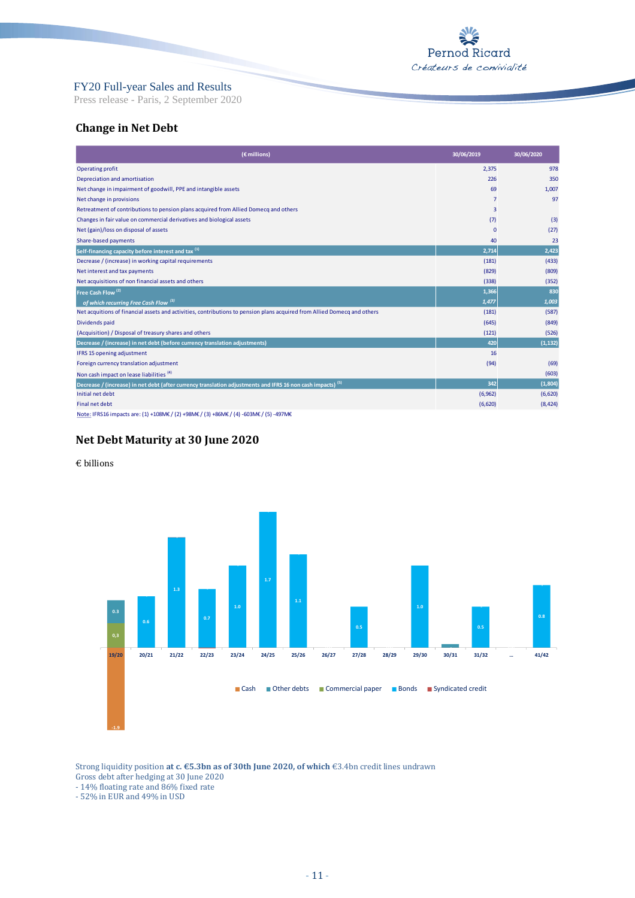Press release - Paris, 2 September 2020

### **Change in Net Debt**

| (€ millions)                                                                                                             | 30/06/2019  | 30/06/2020 |
|--------------------------------------------------------------------------------------------------------------------------|-------------|------------|
| <b>Operating profit</b>                                                                                                  | 2.375       | 978        |
| Depreciation and amortisation                                                                                            | 226         | 350        |
| Net change in impairment of goodwill, PPE and intangible assets                                                          | 69          | 1,007      |
| Net change in provisions                                                                                                 | 7           | 97         |
| Retreatment of contributions to pension plans acquired from Allied Domecq and others                                     | 3           |            |
| Changes in fair value on commercial derivatives and biological assets                                                    | (7)         | (3)        |
| Net (gain)/loss on disposal of assets                                                                                    | $\mathbf 0$ | (27)       |
| Share-based payments                                                                                                     | 40          | 23         |
| Self-financing capacity before interest and tax (1)                                                                      | 2,714       | 2,423      |
| Decrease / (increase) in working capital requirements                                                                    | (181)       | (433)      |
| Net interest and tax payments                                                                                            | (829)       | (809)      |
| Net acquisitions of non financial assets and others                                                                      | (338)       | (352)      |
| Free Cash Flow <sup>(2)</sup>                                                                                            | 1,366       | 830        |
| of which recurring Free Cash Flow <sup>(3)</sup>                                                                         | 1,477       | 1,003      |
| Net acquitions of financial assets and activities, contributions to pension plans acquired from Allied Domecq and others | (181)       | (587)      |
| Dividends paid                                                                                                           | (645)       | (849)      |
| (Acquisition) / Disposal of treasury shares and others                                                                   | (121)       | (526)      |
| Decrease / (increase) in net debt (before currency translation adjustments)                                              | 420         | (1, 132)   |
| <b>IFRS 15 opening adjustment</b>                                                                                        | 16          |            |
| Foreign currency translation adjustment                                                                                  | (94)        | (69)       |
| Non cash impact on lease liabilities <sup>(4)</sup>                                                                      |             | (603)      |
| Decrease / (increase) in net debt (after currency translation adjustments and IFRS 16 non cash impacts) (5)              | 342         | (1,804)    |
| Initial net debt                                                                                                         | (6, 962)    | (6,620)    |
| Final net debt                                                                                                           | (6,620)     | (8, 424)   |

Note: IFRS16 impacts are: (1) +108M€ / (2) +98M€ / (3) +86M€ / (4) -603M€ / (5) -497M€

### **Net Debt Maturity at 30 June 2020**

#### € billions



Strong liquidity position **at c. €5.3bn as of 30th June 2020, of which** €3.4bn credit lines undrawn Gross debt after hedging at 30 June 2020

- 14% floating rate and 86% fixed rate

- 52% in EUR and 49% in USD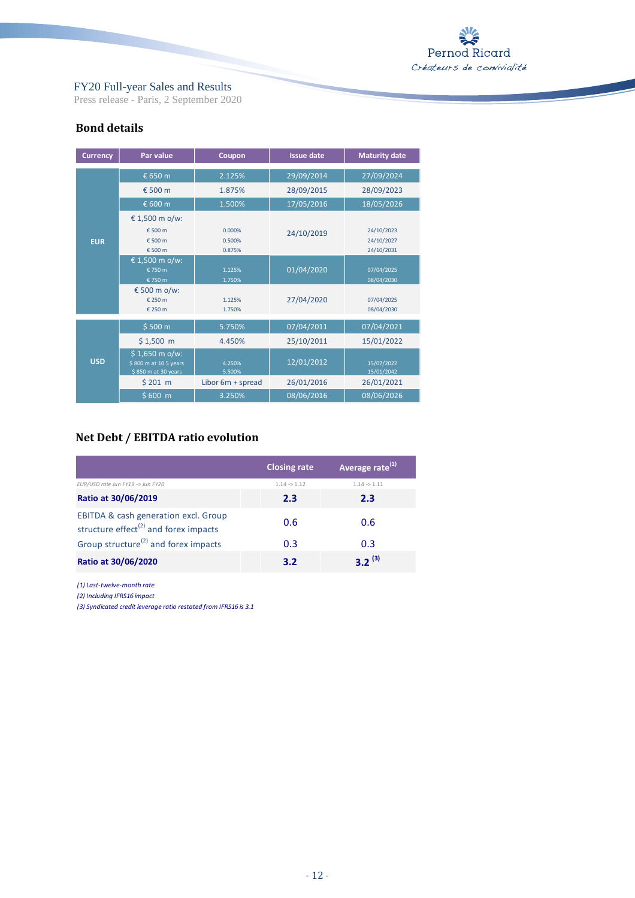

Press release - Paris, 2 September 2020

### **Bond details**

| <b>Currency</b>                          | Par value                                                      | Coupon                     | <b>Issue date</b> | <b>Maturity date</b>                   |
|------------------------------------------|----------------------------------------------------------------|----------------------------|-------------------|----------------------------------------|
|                                          | € 650 m                                                        | 2.125%                     | 29/09/2014        | 27/09/2024                             |
|                                          | € 500 m                                                        | 1.875%                     | 28/09/2015        | 28/09/2023                             |
|                                          | € 600 m                                                        | 1.500%                     | 17/05/2016        | 18/05/2026                             |
| <b>EUR</b>                               | € 1,500 m o/w:<br>€ 500 m<br>€ 500 m<br>€ 500 m                | 0.000%<br>0.500%<br>0.875% | 24/10/2019        | 24/10/2023<br>24/10/2027<br>24/10/2031 |
| € 750 m<br>€ 750 m<br>€ 250 m<br>€ 250 m | € 1,500 m o/w:                                                 | 1.125%<br>1.750%           | 01/04/2020        | 07/04/2025<br>08/04/2030               |
|                                          | € 500 m o/w:                                                   | 1.125%<br>1.750%           | 27/04/2020        | 07/04/2025<br>08/04/2030               |
|                                          | \$500 m                                                        | 5.750%                     | 07/04/2011        | 07/04/2021                             |
|                                          | $$1,500$ m                                                     | 4.450%                     | 25/10/2011        | 15/01/2022                             |
| <b>USD</b>                               | \$1,650 m o/w:<br>\$800 m at 10.5 years<br>\$850 m at 30 years | 4.250%<br>5.500%           | 12/01/2012        | 15/07/2022<br>15/01/2042               |
|                                          | \$201 m                                                        | Libor $6m + s$ pread       | 26/01/2016        | 26/01/2021                             |
|                                          | \$600 m                                                        | 3.250%                     | 08/06/2016        | 08/06/2026                             |

## **Net Debt / EBITDA ratio evolution**

|                                                                                     | <b>Closing rate</b>     | Average rate $(1)$ |
|-------------------------------------------------------------------------------------|-------------------------|--------------------|
| EUR/USD rate Jun FY19 -> Jun FY20                                                   | $1.14 \rightarrow 1.12$ | 1.14 > 1.11        |
| Ratio at 30/06/2019                                                                 | 2.3                     | 2.3                |
| EBITDA & cash generation excl. Group<br>structure effect $^{(2)}$ and forex impacts | 0.6                     | 0.6                |
| Group structure <sup>(2)</sup> and forex impacts                                    | 0.3                     | 0.3                |
| Ratio at 30/06/2020                                                                 | 3.2                     | $22^{(3)}$         |

*(1) Last-twelve-month rate*

*(2) Including IFRS16 impact*

*(3) Syndicated credit leverage ratio restated from IFRS16 is 3.1*